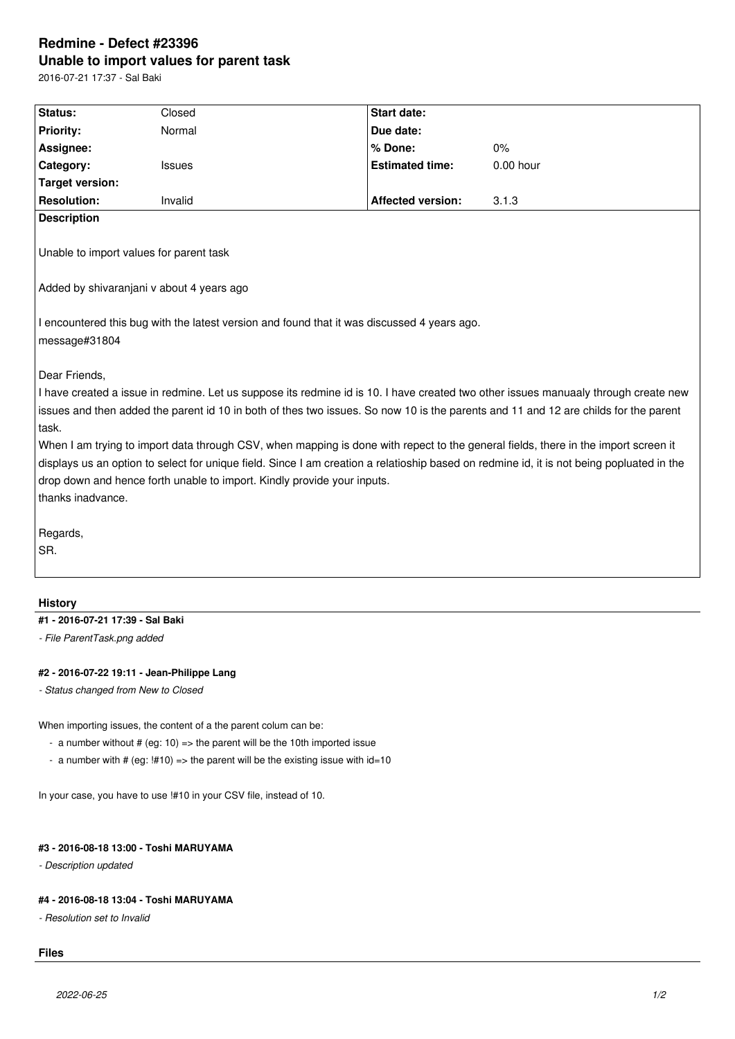## **Redmine - Defect #23396 Unable to import values for parent task**

2016-07-21 17:37 - Sal Baki

| Status:                                                                                                                                                                                                                                                                                                                                                                                                                                                                                                                                                                                                                                                                                                    | Closed  | <b>Start date:</b>       |             |
|------------------------------------------------------------------------------------------------------------------------------------------------------------------------------------------------------------------------------------------------------------------------------------------------------------------------------------------------------------------------------------------------------------------------------------------------------------------------------------------------------------------------------------------------------------------------------------------------------------------------------------------------------------------------------------------------------------|---------|--------------------------|-------------|
| Priority:                                                                                                                                                                                                                                                                                                                                                                                                                                                                                                                                                                                                                                                                                                  | Normal  | Due date:                |             |
| Assignee:                                                                                                                                                                                                                                                                                                                                                                                                                                                                                                                                                                                                                                                                                                  |         | % Done:                  | 0%          |
| Category:                                                                                                                                                                                                                                                                                                                                                                                                                                                                                                                                                                                                                                                                                                  | Issues  | <b>Estimated time:</b>   | $0.00$ hour |
| <b>Target version:</b>                                                                                                                                                                                                                                                                                                                                                                                                                                                                                                                                                                                                                                                                                     |         |                          |             |
| <b>Resolution:</b>                                                                                                                                                                                                                                                                                                                                                                                                                                                                                                                                                                                                                                                                                         | Invalid | <b>Affected version:</b> | 3.1.3       |
| <b>Description</b>                                                                                                                                                                                                                                                                                                                                                                                                                                                                                                                                                                                                                                                                                         |         |                          |             |
| Unable to import values for parent task                                                                                                                                                                                                                                                                                                                                                                                                                                                                                                                                                                                                                                                                    |         |                          |             |
| Added by shivaranjani v about 4 years ago                                                                                                                                                                                                                                                                                                                                                                                                                                                                                                                                                                                                                                                                  |         |                          |             |
| I encountered this bug with the latest version and found that it was discussed 4 years ago.<br>message#31804                                                                                                                                                                                                                                                                                                                                                                                                                                                                                                                                                                                               |         |                          |             |
| Dear Friends,<br>I have created a issue in redmine. Let us suppose its redmine id is 10. I have created two other issues manuaaly through create new<br>issues and then added the parent id 10 in both of thes two issues. So now 10 is the parents and 11 and 12 are childs for the parent<br>task.<br>When I am trying to import data through CSV, when mapping is done with repect to the general fields, there in the import screen it<br>displays us an option to select for unique field. Since I am creation a relatioship based on redmine id, it is not being popluated in the<br>drop down and hence forth unable to import. Kindly provide your inputs.<br>thanks inadvance.<br>Regards,<br>SR. |         |                          |             |
|                                                                                                                                                                                                                                                                                                                                                                                                                                                                                                                                                                                                                                                                                                            |         |                          |             |
| <b>History</b>                                                                                                                                                                                                                                                                                                                                                                                                                                                                                                                                                                                                                                                                                             |         |                          |             |
| #1 - 2016-07-21 17:39 - Sal Baki                                                                                                                                                                                                                                                                                                                                                                                                                                                                                                                                                                                                                                                                           |         |                          |             |
| - File ParentTask.png added                                                                                                                                                                                                                                                                                                                                                                                                                                                                                                                                                                                                                                                                                |         |                          |             |
| #2 - 2016-07-22 19:11 - Jean-Philippe Lang<br>- Status changed from New to Closed                                                                                                                                                                                                                                                                                                                                                                                                                                                                                                                                                                                                                          |         |                          |             |
| When importing issues, the content of a the parent colum can be:<br>- a number without # (eg: 10) => the parent will be the 10th imported issue<br>- a number with # (eg: $\frac{1410}{2}$ => the parent will be the existing issue with id=10                                                                                                                                                                                                                                                                                                                                                                                                                                                             |         |                          |             |
| In your case, you have to use !#10 in your CSV file, instead of 10.                                                                                                                                                                                                                                                                                                                                                                                                                                                                                                                                                                                                                                        |         |                          |             |
| #3 - 2016-08-18 13:00 - Toshi MARUYAMA<br>- Description updated                                                                                                                                                                                                                                                                                                                                                                                                                                                                                                                                                                                                                                            |         |                          |             |
| #4 - 2016-08-18 13:04 - Toshi MARUYAMA<br>- Resolution set to Invalid                                                                                                                                                                                                                                                                                                                                                                                                                                                                                                                                                                                                                                      |         |                          |             |